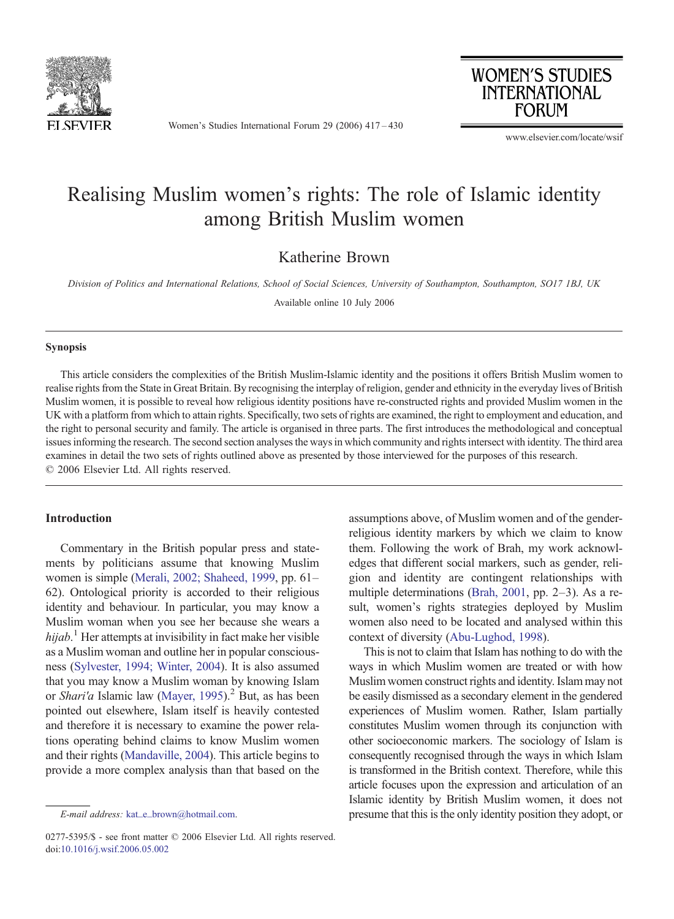

Women's Studies International Forum 29 (2006) 417–430



www.elsevier.com/locate/wsif

## Realising Muslim women's rights: The role of Islamic identity among British Muslim women

Katherine Brown

Division of Politics and International Relations, School of Social Sciences, University of Southampton, Southampton, SO17 1BJ, UK

Available online 10 July 2006

### Synopsis

This article considers the complexities of the British Muslim-Islamic identity and the positions it offers British Muslim women to realise rights from the State in Great Britain. By recognising the interplay of religion, gender and ethnicity in the everyday lives of British Muslim women, it is possible to reveal how religious identity positions have re-constructed rights and provided Muslim women in the UK with a platform from which to attain rights. Specifically, two sets of rights are examined, the right to employment and education, and the right to personal security and family. The article is organised in three parts. The first introduces the methodological and conceptual issues informing the research. The second section analyses the ways in which community and rights intersect with identity. The third area examines in detail the two sets of rights outlined above as presented by those interviewed for the purposes of this research. © 2006 Elsevier Ltd. All rights reserved.

## Introduction

Commentary in the British popular press and statements by politicians assume that knowing Muslim women is simple [\(Merali, 2002; Shaheed, 1999](#page--1-0), pp. 61– 62). Ontological priority is accorded to their religious identity and behaviour. In particular, you may know a Muslim woman when you see her because she wears a hijab.<sup>1</sup> Her attempts at invisibility in fact make her visible as a Muslim woman and outline her in popular consciousness [\(Sylvester, 1994; Winter, 2004](#page--1-0)). It is also assumed that you may know a Muslim woman by knowing Islam or Shari'a Islamic law [\(Mayer, 1995](#page--1-0)).<sup>2</sup> But, as has been pointed out elsewhere, Islam itself is heavily contested and therefore it is necessary to examine the power relations operating behind claims to know Muslim women and their rights ([Mandaville, 2004](#page--1-0)). This article begins to provide a more complex analysis than that based on the

assumptions above, of Muslim women and of the genderreligious identity markers by which we claim to know them. Following the work of Brah, my work acknowledges that different social markers, such as gender, religion and identity are contingent relationships with multiple determinations [\(Brah, 2001](#page--1-0), pp. 2–3). As a result, women's rights strategies deployed by Muslim women also need to be located and analysed within this context of diversity [\(Abu-Lughod, 1998\)](#page--1-0).

This is not to claim that Islam has nothing to do with the ways in which Muslim women are treated or with how Muslim women construct rights and identity. Islam may not be easily dismissed as a secondary element in the gendered experiences of Muslim women. Rather, Islam partially constitutes Muslim women through its conjunction with other socioeconomic markers. The sociology of Islam is consequently recognised through the ways in which Islam is transformed in the British context. Therefore, while this article focuses upon the expression and articulation of an Islamic identity by British Muslim women, it does not presume that this is the only identity position they adopt, or

E-mail address: [kat\\_e\\_brown@hotmail.com.](mailto:kat_e_brown@hotmail.com)

<sup>0277-5395/\$ -</sup> see front matter © 2006 Elsevier Ltd. All rights reserved. [doi:10.1016/j.wsif.2006.05.002](http://dx.doi.org/10.1016/j.wsif.2006.05.002)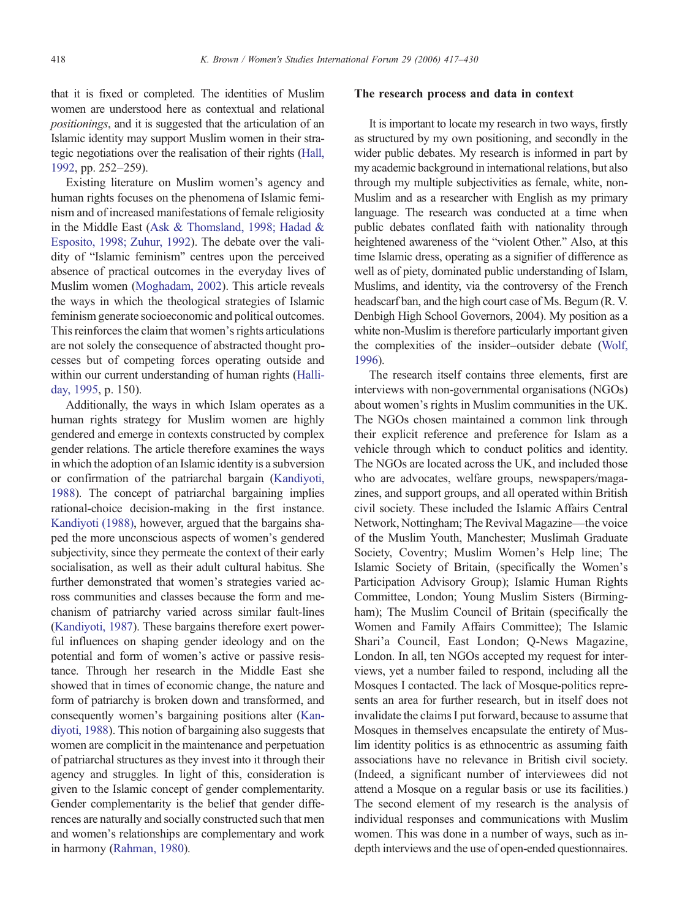that it is fixed or completed. The identities of Muslim women are understood here as contextual and relational positionings, and it is suggested that the articulation of an Islamic identity may support Muslim women in their strategic negotiations over the realisation of their rights ([Hall,](#page--1-0) [1992](#page--1-0), pp. 252–259).

Existing literature on Muslim women's agency and human rights focuses on the phenomena of Islamic feminism and of increased manifestations of female religiosity in the Middle East [\(Ask & Thomsland, 1998; Hadad &](#page--1-0) [Esposito, 1998; Zuhur, 1992](#page--1-0)). The debate over the validity of "Islamic feminism" centres upon the perceived absence of practical outcomes in the everyday lives of Muslim women [\(Moghadam, 2002](#page--1-0)). This article reveals the ways in which the theological strategies of Islamic feminism generate socioeconomic and political outcomes. This reinforces the claim that women's rights articulations are not solely the consequence of abstracted thought processes but of competing forces operating outside and within our current understanding of human rights ([Halli](#page--1-0)[day, 1995](#page--1-0), p. 150).

Additionally, the ways in which Islam operates as a human rights strategy for Muslim women are highly gendered and emerge in contexts constructed by complex gender relations. The article therefore examines the ways in which the adoption of an Islamic identity is a subversion or confirmation of the patriarchal bargain [\(Kandiyoti,](#page--1-0) [1988\)](#page--1-0). The concept of patriarchal bargaining implies rational-choice decision-making in the first instance. [Kandiyoti \(1988\)](#page--1-0), however, argued that the bargains shaped the more unconscious aspects of women's gendered subjectivity, since they permeate the context of their early socialisation, as well as their adult cultural habitus. She further demonstrated that women's strategies varied across communities and classes because the form and mechanism of patriarchy varied across similar fault-lines [\(Kandiyoti, 1987](#page--1-0)). These bargains therefore exert powerful influences on shaping gender ideology and on the potential and form of women's active or passive resistance. Through her research in the Middle East she showed that in times of economic change, the nature and form of patriarchy is broken down and transformed, and consequently women's bargaining positions alter [\(Kan](#page--1-0)[diyoti, 1988\)](#page--1-0). This notion of bargaining also suggests that women are complicit in the maintenance and perpetuation of patriarchal structures as they invest into it through their agency and struggles. In light of this, consideration is given to the Islamic concept of gender complementarity. Gender complementarity is the belief that gender differences are naturally and socially constructed such that men and women's relationships are complementary and work in harmony ([Rahman, 1980](#page--1-0)).

#### The research process and data in context

It is important to locate my research in two ways, firstly as structured by my own positioning, and secondly in the wider public debates. My research is informed in part by my academic background in international relations, but also through my multiple subjectivities as female, white, non-Muslim and as a researcher with English as my primary language. The research was conducted at a time when public debates conflated faith with nationality through heightened awareness of the "violent Other." Also, at this time Islamic dress, operating as a signifier of difference as well as of piety, dominated public understanding of Islam, Muslims, and identity, via the controversy of the French headscarf ban, and the high court case of Ms. Begum (R. V. Denbigh High School Governors, 2004). My position as a white non-Muslim is therefore particularly important given the complexities of the insider–outsider debate [\(Wolf,](#page--1-0) [1996](#page--1-0)).

The research itself contains three elements, first are interviews with non-governmental organisations (NGOs) about women's rights in Muslim communities in the UK. The NGOs chosen maintained a common link through their explicit reference and preference for Islam as a vehicle through which to conduct politics and identity. The NGOs are located across the UK, and included those who are advocates, welfare groups, newspapers/magazines, and support groups, and all operated within British civil society. These included the Islamic Affairs Central Network, Nottingham; The Revival Magazine—the voice of the Muslim Youth, Manchester; Muslimah Graduate Society, Coventry; Muslim Women's Help line; The Islamic Society of Britain, (specifically the Women's Participation Advisory Group); Islamic Human Rights Committee, London; Young Muslim Sisters (Birmingham); The Muslim Council of Britain (specifically the Women and Family Affairs Committee); The Islamic Shari'a Council, East London; Q-News Magazine, London. In all, ten NGOs accepted my request for interviews, yet a number failed to respond, including all the Mosques I contacted. The lack of Mosque-politics represents an area for further research, but in itself does not invalidate the claims I put forward, because to assume that Mosques in themselves encapsulate the entirety of Muslim identity politics is as ethnocentric as assuming faith associations have no relevance in British civil society. (Indeed, a significant number of interviewees did not attend a Mosque on a regular basis or use its facilities.) The second element of my research is the analysis of individual responses and communications with Muslim women. This was done in a number of ways, such as indepth interviews and the use of open-ended questionnaires.